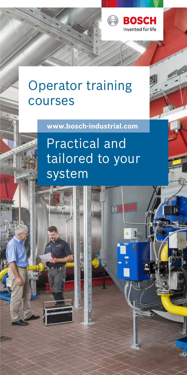

# Operator training courses

**www.bosch-industrial.com**

# Practical and tailored to your system

 $\Theta$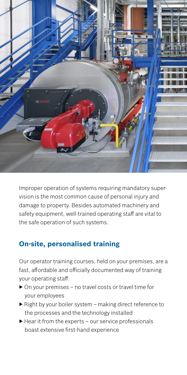

Improper operation of systems requiring mandatory supervision is the most common cause of personal injury and damage to property. Besides automated machinery and safety equipment, well-trained operating staff are vital to the safe operation of such systems.

## **On-site, personalised training**

Our operator training courses, held on your premises, are a fast, affordable and officially documented way of training your operating staff:

- ▶ On your premises no travel costs or travel time for your employees
- $\triangleright$  Right by your boiler system  $\overline{-}$  making direct reference to the processes and the technology installed
- $\blacktriangleright$  Hear it from the experts our service professionals boast extensive first-hand experience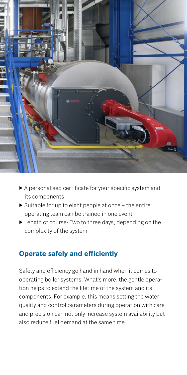

- ▶ A personalised certificate for your specific system and its components
- $\triangleright$  Suitable for up to eight people at once the entire operating team can be trained in one event
- ▶ Length of course: Two to three days, depending on the complexity of the system

### **Operate safely and efficiently**

Safety and efficiency go hand in hand when it comes to operating boiler systems. What's more, the gentle operation helps to extend the lifetime of the system and its components. For example, this means setting the water quality and control parameters during operation with care and precision can not only increase system availability but also reduce fuel demand at the same time.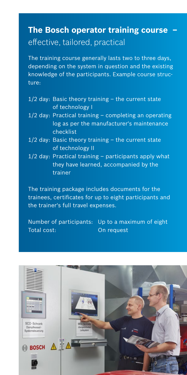# **The Bosch operator training course –**  effective, tailored, practical

The training course generally lasts two to three days, depending on the system in question and the existing knowledge of the participants. Example course structure:

- 1/2 day: Basic theory training the current state of technology I
- 1/2 day: Practical training completing an operating log as per the manufacturer's maintenance checklist
- 1/2 day: Basic theory training the current state of technology II
- 1/2 day: Practical training participants apply what they have learned, accompanied by the trainer

The training package includes documents for the trainees, certificates for up to eight participants and the trainer's full travel expenses.

Number of participants: Up to a maximum of eight Total cost: On request

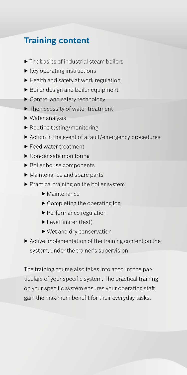## **Training content**

- ▶ The basics of industrial steam boilers
- ▶ Key operating instructions
- ▶ Health and safety at work regulation
- ▶ Boiler design and boiler equipment
- ▶ Control and safety technology
- ▶ The necessity of water treatment
- ▶ Water analysis
- ▶ Routine testing/monitoring
- ▶ Action in the event of a fault/emergency procedures
- ▶ Feed water treatment
- ▶ Condensate monitoring
- ▶ Boiler house components
- ▶ Maintenance and spare parts
- ▶ Practical training on the boiler system
	- ▶ Maintenance
	- ▶ Completing the operating log
	- ▶ Performance regulation
	- ▶ Level limiter (test)
	- ▶ Wet and dry conservation
- ▶ Active implementation of the training content on the system, under the trainer's supervision

The training course also takes into account the particulars of your specific system. The practical training on your specific system ensures your operating staff gain the maximum benefit for their everyday tasks.